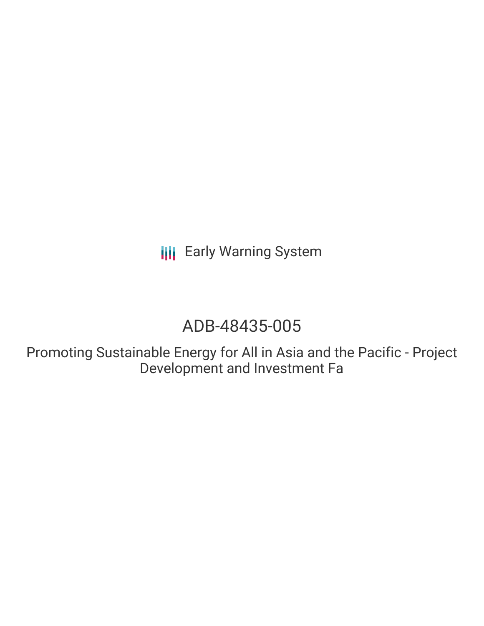**III** Early Warning System

# ADB-48435-005

Promoting Sustainable Energy for All in Asia and the Pacific - Project Development and Investment Fa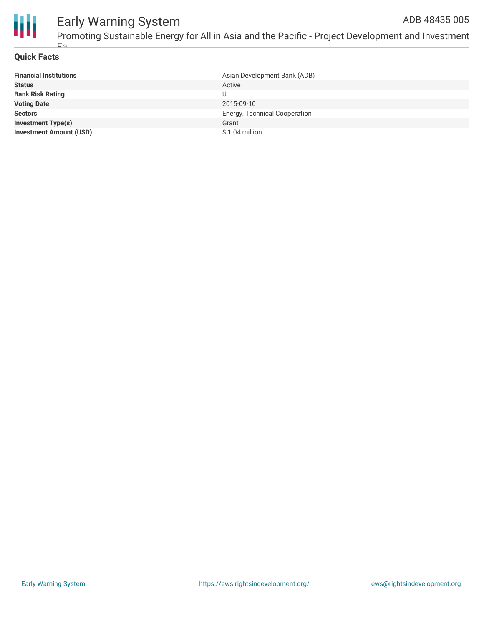

## **Quick Facts**

Fa

| <b>Financial Institutions</b>  | Asian Development Bank (ADB)  |
|--------------------------------|-------------------------------|
| <b>Status</b>                  | Active                        |
| <b>Bank Risk Rating</b>        |                               |
| <b>Voting Date</b>             | 2015-09-10                    |
| <b>Sectors</b>                 | Energy, Technical Cooperation |
| <b>Investment Type(s)</b>      | Grant                         |
| <b>Investment Amount (USD)</b> | \$1.04 million                |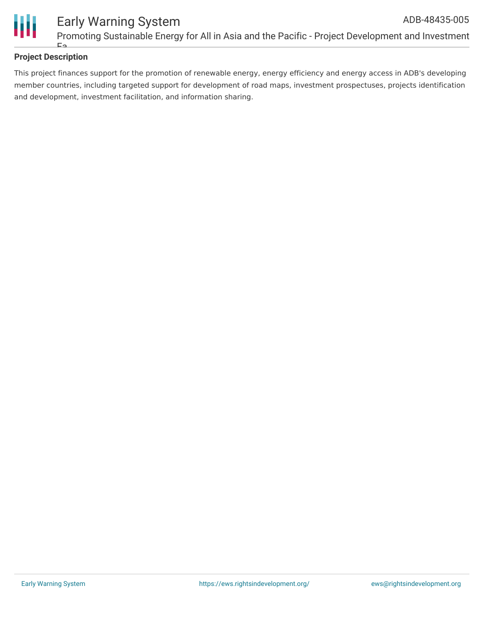

# **Project Description**

Fa

This project finances support for the promotion of renewable energy, energy efficiency and energy access in ADB's developing member countries, including targeted support for development of road maps, investment prospectuses, projects identification and development, investment facilitation, and information sharing.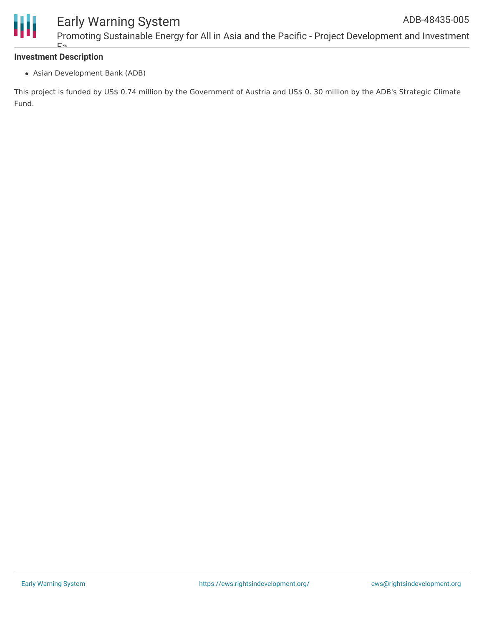

## **Investment Description** Fa

Asian Development Bank (ADB)

This project is funded by US\$ 0.74 million by the Government of Austria and US\$ 0. 30 million by the ADB's Strategic Climate Fund.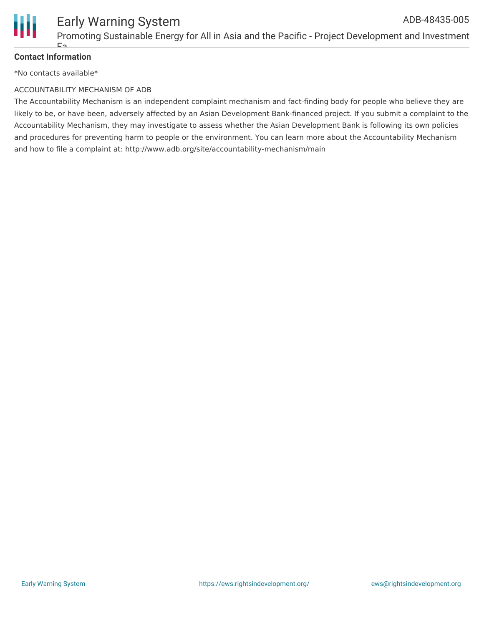

# **Contact Information**

\*No contacts available\*

 $E \sim$ 

#### ACCOUNTABILITY MECHANISM OF ADB

The Accountability Mechanism is an independent complaint mechanism and fact-finding body for people who believe they are likely to be, or have been, adversely affected by an Asian Development Bank-financed project. If you submit a complaint to the Accountability Mechanism, they may investigate to assess whether the Asian Development Bank is following its own policies and procedures for preventing harm to people or the environment. You can learn more about the Accountability Mechanism and how to file a complaint at: http://www.adb.org/site/accountability-mechanism/main